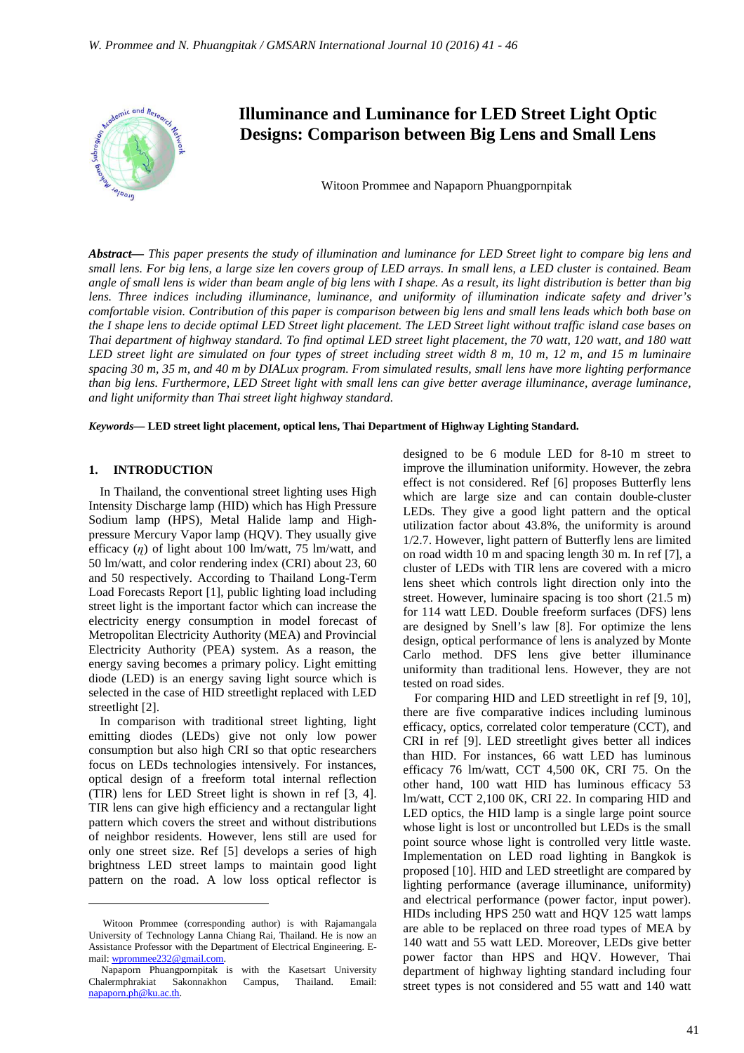

# **Illuminance and Luminance for LED Street Light Optic Designs: Comparison between Big Lens and Small Lens**

Witoon Prommee and Napaporn Phuangpornpitak

*Abstract***—** *This paper presents the study of illumination and luminance for LED Street light to compare big lens and small lens. For big lens, a large size len covers group of LED arrays. In small lens, a LED cluster is contained. Beam angle of small lens is wider than beam angle of big lens with I shape. As a result, its light distribution is better than big lens. Three indices including illuminance, luminance, and uniformity of illumination indicate safety and driver's comfortable vision. Contribution of this paper is comparison between big lens and small lens leads which both base on the I shape lens to decide optimal LED Street light placement. The LED Street light without traffic island case bases on Thai department of highway standard. To find optimal LED street light placement, the 70 watt, 120 watt, and 180 watt LED street light are simulated on four types of street including street width 8 m, 10 m, 12 m, and 15 m luminaire spacing 30 m, 35 m, and 40 m by DIALux program. From simulated results, small lens have more lighting performance than big lens. Furthermore, LED Street light with small lens can give better average illuminance, average luminance, and light uniformity than Thai street light highway standard.*

*Keywords***— LED street light placement, optical lens, Thai Department of Highway Lighting Standard.**

#### **1. INTRODUCTION**

 $\overline{a}$ 

In Thailand, the conventional street lighting uses High Intensity Discharge lamp (HID) which has High Pressure Sodium lamp (HPS), Metal Halide lamp and Highpressure Mercury Vapor lamp (HQV). They usually give efficacy (*ɳ*) of light about 100 lm/watt, 75 lm/watt, and 50 lm/watt, and color rendering index (CRI) about 23, 60 and 50 respectively. According to Thailand Long-Term Load Forecasts Report [1], public lighting load including street light is the important factor which can increase the electricity energy consumption in model forecast of Metropolitan Electricity Authority (MEA) and Provincial Electricity Authority (PEA) system. As a reason, the energy saving becomes a primary policy. Light emitting diode (LED) is an energy saving light source which is selected in the case of HID streetlight replaced with LED streetlight [2].

In comparison with traditional street lighting, light emitting diodes (LEDs) give not only low power consumption but also high CRI so that optic researchers focus on LEDs technologies intensively. For instances, optical design of a freeform total internal reflection (TIR) lens for LED Street light is shown in ref [3, 4]. TIR lens can give high efficiency and a rectangular light pattern which covers the street and without distributions of neighbor residents. However, lens still are used for only one street size. Ref [5] develops a series of high brightness LED street lamps to maintain good light pattern on the road. A low loss optical reflector is

designed to be 6 module LED for 8-10 m street to improve the illumination uniformity. However, the zebra effect is not considered. Ref [6] proposes Butterfly lens which are large size and can contain double-cluster LEDs. They give a good light pattern and the optical utilization factor about 43.8%, the uniformity is around 1/2.7. However, light pattern of Butterfly lens are limited on road width 10 m and spacing length 30 m. In ref [7], a cluster of LEDs with TIR lens are covered with a micro lens sheet which controls light direction only into the street. However, luminaire spacing is too short (21.5 m) for 114 watt LED. Double freeform surfaces (DFS) lens are designed by Snell's law [8]. For optimize the lens design, optical performance of lens is analyzed by Monte Carlo method. DFS lens give better illuminance uniformity than traditional lens. However, they are not tested on road sides.

For comparing HID and LED streetlight in ref [9, 10], there are five comparative indices including luminous efficacy, optics, correlated color temperature (CCT), and CRI in ref [9]. LED streetlight gives better all indices than HID. For instances, 66 watt LED has luminous efficacy 76 lm/watt, CCT 4,500 0K, CRI 75. On the other hand, 100 watt HID has luminous efficacy 53 lm/watt, CCT 2,100 0K, CRI 22. In comparing HID and LED optics, the HID lamp is a single large point source whose light is lost or uncontrolled but LEDs is the small point source whose light is controlled very little waste. Implementation on LED road lighting in Bangkok is proposed [10]. HID and LED streetlight are compared by lighting performance (average illuminance, uniformity) and electrical performance (power factor, input power). HIDs including HPS 250 watt and HQV 125 watt lamps are able to be replaced on three road types of MEA by 140 watt and 55 watt LED. Moreover, LEDs give better power factor than HPS and HQV. However, Thai department of highway lighting standard including four street types is not considered and 55 watt and 140 watt

Witoon Prommee (corresponding author) is with Rajamangala University of Technology Lanna Chiang Rai, Thailand. He is now an Assistance Professor with the Department of Electrical Engineering. Email: wprommee232@gmail.com.

Napaporn Phuangpornpitak is with the Kasetsart University Chalermphrakiat Sakonnakhon Campus, Thailand. Email: napaporn.ph@ku.ac.th.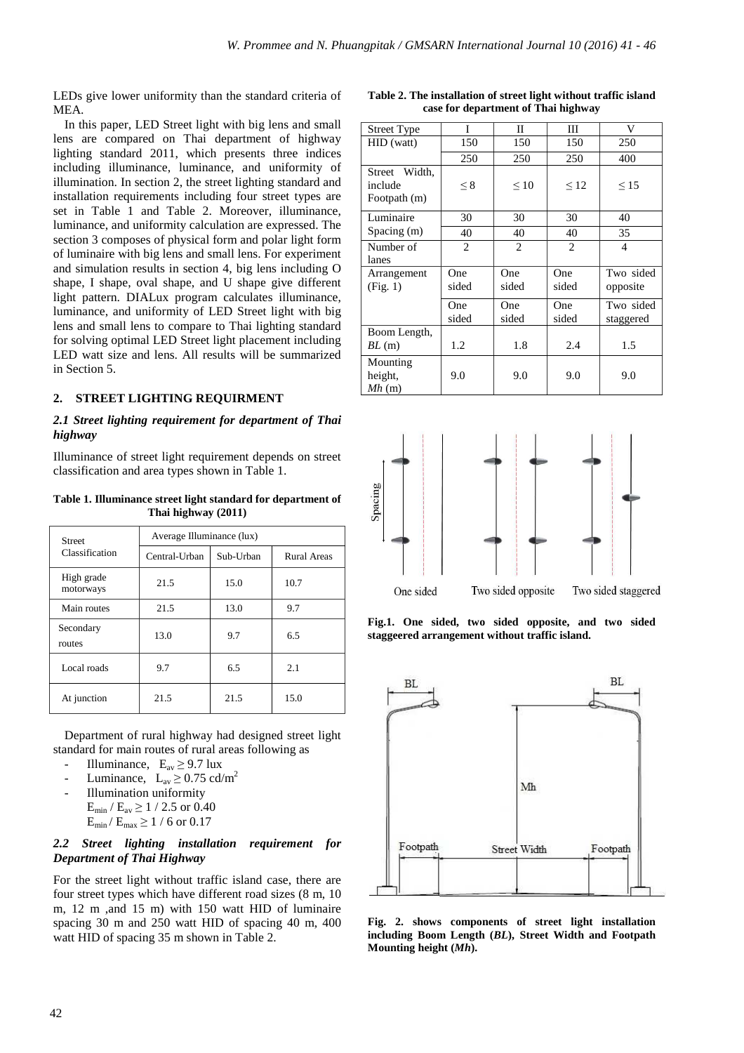LEDs give lower uniformity than the standard criteria of MEA.

In this paper, LED Street light with big lens and small lens are compared on Thai department of highway lighting standard 2011, which presents three indices including illuminance, luminance, and uniformity of illumination. In section 2, the street lighting standard and installation requirements including four street types are set in Table 1 and Table 2. Moreover, illuminance, luminance, and uniformity calculation are expressed. The section 3 composes of physical form and polar light form of luminaire with big lens and small lens. For experiment and simulation results in section 4, big lens including O shape, I shape, oval shape, and U shape give different light pattern. DIALux program calculates illuminance, luminance, and uniformity of LED Street light with big lens and small lens to compare to Thai lighting standard for solving optimal LED Street light placement including LED watt size and lens. All results will be summarized in Section 5.

## **2. STREET LIGHTING REQUIRMENT**

# *2.1 Street lighting requirement for department of Thai highway*

Illuminance of street light requirement depends on street classification and area types shown in Table 1.

**Table 1. Illuminance street light standard for department of Thai highway (2011)** 

| <b>Street</b>           | Average Illuminance (lux)  |      |                    |  |  |  |
|-------------------------|----------------------------|------|--------------------|--|--|--|
| Classification          | Central-Urban<br>Sub-Urban |      | <b>Rural Areas</b> |  |  |  |
| High grade<br>motorways | 21.5                       | 15.0 | 10.7               |  |  |  |
| Main routes             | 21.5                       | 13.0 | 9.7                |  |  |  |
| Secondary<br>routes     | 13.0                       | 9.7  | 6.5                |  |  |  |
| Local roads             | 9.7                        | 6.5  | 2.1                |  |  |  |
| At junction             | 21.5                       | 21.5 | 15.0               |  |  |  |

Department of rural highway had designed street light standard for main routes of rural areas following as

- Illuminance,  $E_{av} \ge 9.7$  lux
- Luminance,  $L_{av} \ge 0.75$  cd/m<sup>2</sup>
- Illumination uniformity
- $E_{\text{min}}$  /  $E_{\text{av}} \ge 1$  / 2.5 or 0.40  $E_{min} / E_{max} \ge 1 / 6$  or 0.17

# *2.2 Street lighting installation requirement for Department of Thai Highway*

For the street light without traffic island case, there are four street types which have different road sizes (8 m, 10 m, 12 m ,and 15 m) with 150 watt HID of luminaire spacing 30 m and 250 watt HID of spacing 40 m, 400 watt HID of spacing 35 m shown in Table 2.

| Table 2. The installation of street light without traffic island |
|------------------------------------------------------------------|
| case for department of Thai highway                              |

| <b>Street Type</b>                       | I              | П              | Ш              | V                      |
|------------------------------------------|----------------|----------------|----------------|------------------------|
| HID (watt)                               | 150            | 150            | 150            | 250                    |
|                                          | 250            | 250            | 250            | 400                    |
| Street Width.<br>include<br>Footpath (m) | $\leq 8$       | $\leq 10$      | $\leq 12$      | $\leq$ 15              |
| Luminaire                                | 30             | 30             | 30             | 40                     |
| Spacing(m)                               | 40             | 40             | 40             | 35                     |
| Number of<br>lanes                       | $\overline{c}$ | $\overline{2}$ | $\overline{c}$ | 4                      |
| Arrangement<br>(Fig. 1)                  | One<br>sided   | One<br>sided   | One<br>sided   | Two sided<br>opposite  |
|                                          | One<br>sided   | One<br>sided   | One<br>sided   | Two sided<br>staggered |
| Boom Length,<br>BL(m)                    | 1.2            | 1.8            | 2.4            | 1.5                    |
| Mounting<br>height,<br>Mh(m)             | 9.0            | 9.0            | 9.0            | 9.0                    |



**Fig.1. One sided, two sided opposite, and two sided staggeered arrangement without traffic island.**



**Fig. 2. shows components of street light installation including Boom Length (***BL***), Street Width and Footpath Mounting height (***Mh***).**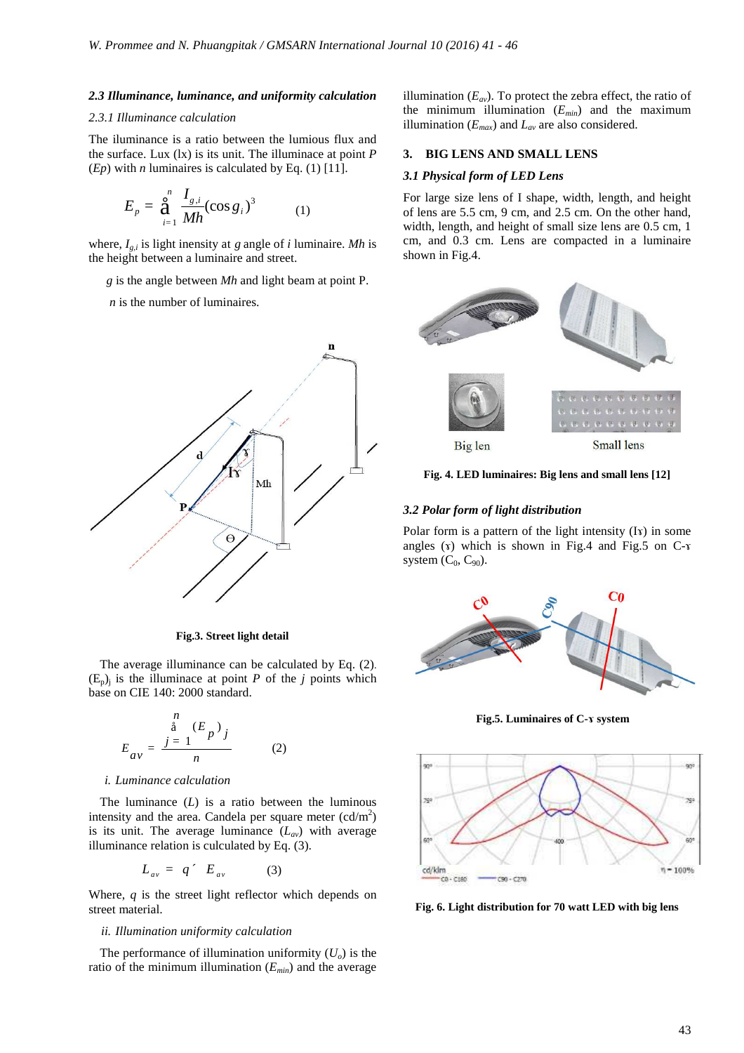#### *2.3 Illuminance, luminance, and uniformity calculation*

### *2.3.1 Illuminance calculation*

The iluminance is a ratio between the lumious flux and the surface. Lux (lx) is its unit. The illuminace at point *P* (*Ep*) with *n* luminaires is calculated by Eq. (1) [11].

$$
E_p = \mathop{\mathbf{a}}_{i=1}^n \frac{I_{g,i}}{Mh} (\cos g_i)^3 \tag{1}
$$

where, *Ig,i* is light inensity at *g* angle of *i* luminaire. *Mh* is the height between a luminaire and street.

*g* is the angle between *Mh* and light beam at point P.

 *n* is the number of luminaires.



**Fig.3. Street light detail**

The average illuminance can be calculated by Eq. (2).  $(E_p)$  is the illuminace at point *P* of the *j* points which base on CIE 140: 2000 standard.

$$
E_{av} = \frac{\sum_{j=1}^{n} (E_p)_j}{n}
$$
 (2)

#### *i. Luminance calculation*

The luminance  $(L)$  is a ratio between the luminous intensity and the area. Candela per square meter  $(cd/m^2)$ is its unit. The average luminance  $(L_{av})$  with average illuminance relation is culculated by Eq. (3).

$$
L_{av} = q \prime E_{av} \tag{3}
$$

Where, *q* is the street light reflector which depends on street material.

#### *ii. Illumination uniformity calculation*

The performance of illumination uniformity  $(U_0)$  is the ratio of the minimum illumination (*Emin*) and the average illumination  $(E_{av})$ . To protect the zebra effect, the ratio of the minimum illumination (*Emin*) and the maximum illumination  $(E_{max})$  and  $L_{av}$  are also considered.

#### **3. BIG LENS AND SMALL LENS**

### *3.1 Physical form of LED Lens*

For large size lens of I shape, width, length, and height of lens are 5.5 cm, 9 cm, and 2.5 cm. On the other hand, width, length, and height of small size lens are 0.5 cm, 1 cm, and 0.3 cm. Lens are compacted in a luminaire shown in Fig.4.



**Fig. 4. LED luminaires: Big lens and small lens [12]** 

#### *3.2 Polar form of light distribution*

Polar form is a pattern of the light intensity (Iv) in some angles  $(x)$  which is shown in Fig.4 and Fig.5 on C- $x$ system  $(C_0, C_{90})$ .



**Fig.5. Luminaires of C-ɤ system**



**Fig. 6. Light distribution for 70 watt LED with big lens**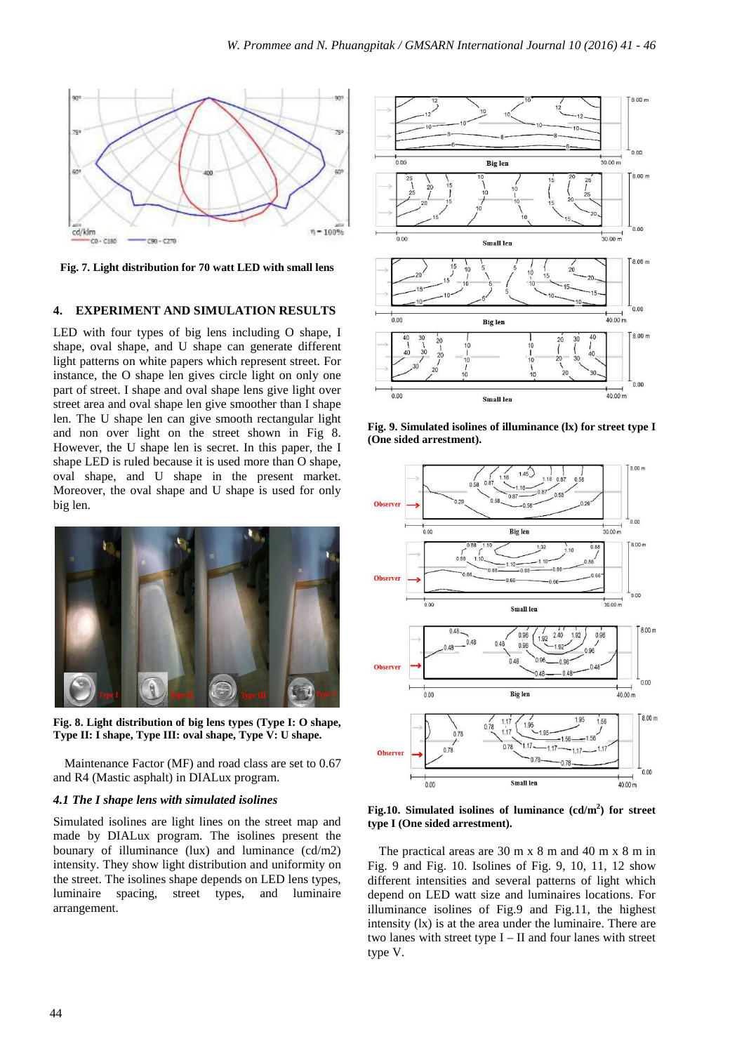

**Fig. 7. Light distribution for 70 watt LED with small lens**

# **4. EXPERIMENT AND SIMULATION RESULTS**

LED with four types of big lens including O shape, I shape, oval shape, and U shape can generate different light patterns on white papers which represent street. For instance, the O shape len gives circle light on only one part of street. I shape and oval shape lens give light over street area and oval shape len give smoother than I shape len. The U shape len can give smooth rectangular light and non over light on the street shown in Fig 8. However, the U shape len is secret. In this paper, the I shape LED is ruled because it is used more than O shape, oval shape, and U shape in the present market. Moreover, the oval shape and U shape is used for only big len.



**Fig. 8. Light distribution of big lens types (Type I: O shape, Type II: I shape, Type III: oval shape, Type V: U shape.** 

Maintenance Factor (MF) and road class are set to 0.67 and R4 (Mastic asphalt) in DIALux program.

# *4.1 The I shape lens with simulated isolines*

Simulated isolines are light lines on the street map and made by DIALux program. The isolines present the bounary of illuminance (lux) and luminance (cd/m2) intensity. They show light distribution and uniformity on the street. The isolines shape depends on LED lens types, luminaire spacing, street types, and luminaire arrangement.



**Fig. 9. Simulated isolines of illuminance (lx) for street type I (One sided arrestment).** 



**Fig.10. Simulated isolines of luminance (cd/m<sup>2</sup> ) for street type I (One sided arrestment).** 

The practical areas are 30 m x 8 m and 40 m x 8 m in Fig. 9 and Fig. 10. Isolines of Fig. 9, 10, 11, 12 show different intensities and several patterns of light which depend on LED watt size and luminaires locations. For illuminance isolines of Fig.9 and Fig.11, the highest intensity (lx) is at the area under the luminaire. There are two lanes with street type I – II and four lanes with street type V.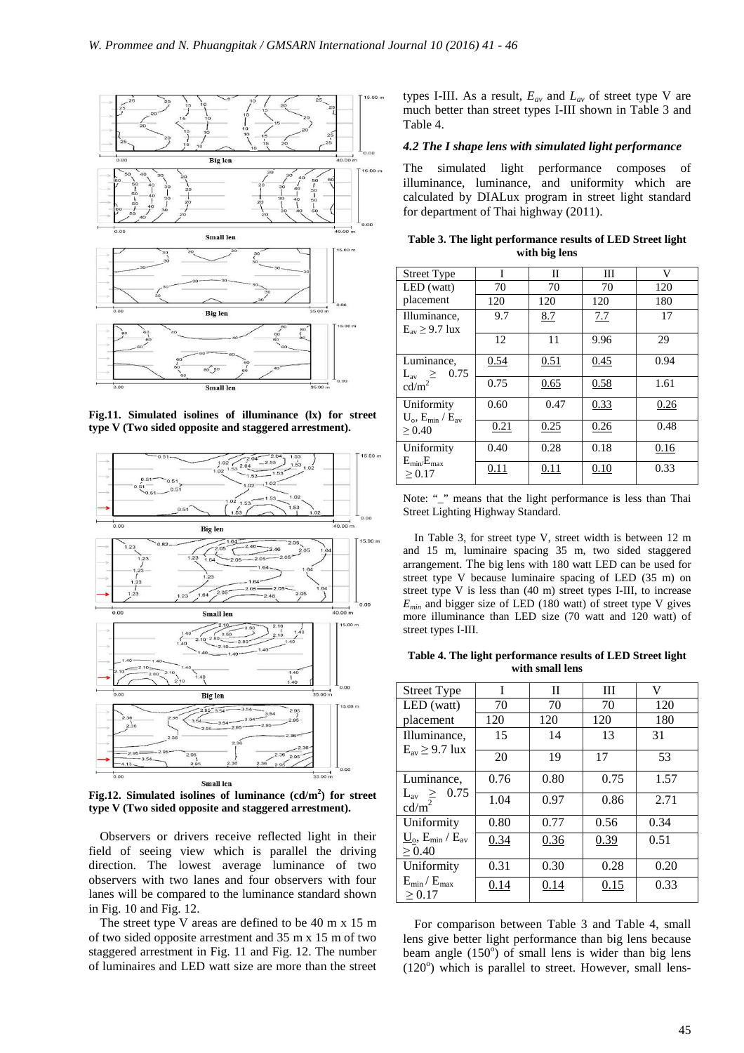

**Fig.11. Simulated isolines of illuminance (lx) for street type V (Two sided opposite and staggered arrestment).** 



**Fig.12. Simulated isolines of luminance (cd/m<sup>2</sup> ) for street type V (Two sided opposite and staggered arrestment).**

Observers or drivers receive reflected light in their field of seeing view which is parallel the driving direction. The lowest average luminance of two observers with two lanes and four observers with four lanes will be compared to the luminance standard shown in Fig. 10 and Fig. 12.

The street type V areas are defined to be 40 m x 15 m of two sided opposite arrestment and 35 m x 15 m of two staggered arrestment in Fig. 11 and Fig. 12. The number of luminaires and LED watt size are more than the street types I-III. As a result, *Eav* and *Lav* of street type V are much better than street types I-III shown in Table 3 and Table 4.

### *4.2 The I shape lens with simulated light performance*

The simulated light performance composes of illuminance, luminance, and uniformity which are calculated by DIALux program in street light standard for department of Thai highway (2011).

| <b>Street Type</b>                                          | I    | П    | Ш    | V    |
|-------------------------------------------------------------|------|------|------|------|
| LED (watt)                                                  | 70   | 70   | 70   | 120  |
| placement                                                   | 120  | 120  | 120  | 180  |
| Illuminance,<br>$E_{av} \geq 9.7$ lux                       | 9.7  | 8.7  | 7.7  | 17   |
|                                                             | 12   | 11   | 9.96 | 29   |
| Luminance,<br>0.75<br>$L_{\rm av} \ge$<br>cd/m <sup>2</sup> | 0.54 | 0.51 | 0.45 | 0.94 |
|                                                             | 0.75 | 0.65 | 0.58 | 1.61 |
| Uniformity<br>$U_{\rm o}$ , $E_{\rm min}$ / $E_{\rm av}$    | 0.60 | 0.47 | 0.33 | 0.26 |
| > 0.40                                                      | 0.21 | 0.25 | 0.26 | 0.48 |
| Uniformity<br>$E_{\rm min}/E_{\rm max}$<br>> 0.17           | 0.40 | 0.28 | 0.18 | 0.16 |
|                                                             | 0.11 | 0.11 | 0.10 | 0.33 |

**Table 3. The light performance results of LED Street light with big lens** 

|                                   |  |  | Note: "_" means that the light performance is less than Thai |  |  |
|-----------------------------------|--|--|--------------------------------------------------------------|--|--|
| Street Lighting Highway Standard. |  |  |                                                              |  |  |

In Table 3, for street type V, street width is between 12 m and 15 m, luminaire spacing 35 m, two sided staggered arrangement. The big lens with 180 watt LED can be used for street type V because luminaire spacing of LED (35 m) on street type V is less than (40 m) street types I-III, to increase  $E_{min}$  and bigger size of LED (180 watt) of street type V gives more illuminance than LED size (70 watt and 120 watt) of street types I-III.

**Table 4. The light performance results of LED Street light with small lens** 

| <b>Street Type</b>                                        | T    | H    | Ш    | V    |
|-----------------------------------------------------------|------|------|------|------|
| LED (watt)                                                | 70   | 70   | 70   | 120  |
| placement                                                 | 120  | 120  | 120  | 180  |
| Illuminance,<br>$E_{av} \geq 9.7$ lux                     | 15   | 14   | 13   | 31   |
|                                                           | 20   | 19   | 17   | 53   |
| Luminance,<br>0.75                                        | 0.76 | 0.80 | 0.75 | 1.57 |
| $L_{\rm av} \ge$<br>cd/m <sup>2</sup>                     | 1.04 | 0.97 | 0.86 | 2.71 |
| Uniformity                                                | 0.80 | 0.77 | 0.56 | 0.34 |
| $\underline{U}_{o}$ , $E_{min}$ / $E_{av}$<br>$\geq 0.40$ | 0.34 | 0.36 | 0.39 | 0.51 |
| Uniformity                                                | 0.31 | 0.30 | 0.28 | 0.20 |
| $E_{min} / E_{max}$<br>$\geq 0.17$                        | 0.14 | 0.14 | 0.15 | 0.33 |

For comparison between Table 3 and Table 4, small lens give better light performance than big lens because beam angle  $(150^{\circ})$  of small lens is wider than big lens  $(120^{\circ})$  which is parallel to street. However, small lens